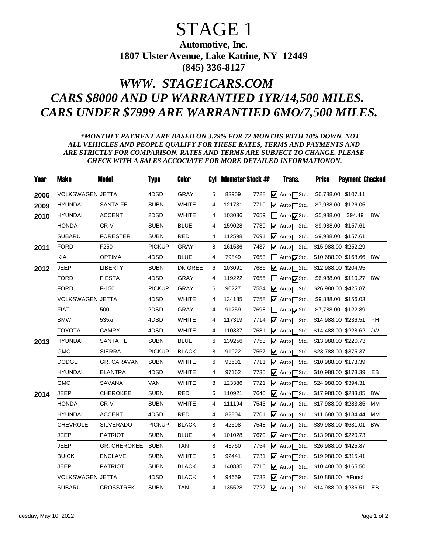## STAGE 1

Automotive, Inc. 1807 Ulster Avenue, Lake Katrine, NY 12449 (845) 336-8127

## *WWW. STAGE1CARS.COM CARS \$8000 AND UP WARRANTIED 1YR/14,500 MILES. CARS UNDER \$7999 ARE WARRANTIED 6MO/7,500 MILES.*

## *\*MONTHLY PAYMENT ARE BASED ON 3.79% FOR 72 MONTHS WITH 10% DOWN. NOT ALL VEHICLES AND PEOPLE QUALIFY FOR THESE RATES, TERMS AND PAYMENTS AND ARE STRICTLY FOR COMPARISON. RATES AND TERMS ARE SUBJECT TO CHANGE. PLEASE CHECK WITH A SALES ACCOCIATE FOR MORE DETAILED INFORMATIONON.*

| Year | <b>Make</b>             | <b>Model</b>        | <b>Type</b>   | Color        |   | Cyl Odometer Stock # |      | Trans.                                          | <b>Price</b> | <b>Payment Checked</b>  |           |
|------|-------------------------|---------------------|---------------|--------------|---|----------------------|------|-------------------------------------------------|--------------|-------------------------|-----------|
| 2006 | <b>VOLKSWAGEN JETTA</b> |                     | 4DSD          | <b>GRAY</b>  | 5 | 83959                | 7728 | $\blacktriangleright$ Auto $\square$ Std.       |              | \$6,788.00 \$107.11     |           |
| 2009 | <b>HYUNDAI</b>          | <b>SANTA FE</b>     | <b>SUBN</b>   | <b>WHITE</b> | 4 | 121731               | 7710 | $\sqrt{ }$ Auto<br>∃Std.                        | \$7,988.00   | \$126.05                |           |
| 2010 | <b>HYUNDAI</b>          | <b>ACCENT</b>       | 2DSD          | <b>WHITE</b> | 4 | 103036               | 7659 | Auto $\sqrt{\text{Std}}$ .                      | \$5,988.00   | \$94.49                 | <b>BW</b> |
|      | <b>HONDA</b>            | CR-V                | SUBN          | <b>BLUE</b>  | 4 | 159028               | 7739 | $ $ Auto $\Gamma$<br>Std.                       | \$9,988.00   | \$157.61                |           |
|      | <b>SUBARU</b>           | <b>FORESTER</b>     | <b>SUBN</b>   | <b>RED</b>   | 4 | 112598               | 7691 | $\blacktriangleright$ Auto<br>7Std.             | \$9,988.00   | \$157.61                |           |
| 2011 | <b>FORD</b>             | F250                | <b>PICKUP</b> | GRAY         | 8 | 161536               | 7437 | $\blacktriangleright$ Auto<br><sup>7</sup> Std. |              | \$15,988.00 \$252.29    |           |
|      | <b>KIA</b>              | <b>OPTIMA</b>       | 4DSD          | <b>BLUE</b>  | 4 | 79849                | 7653 | Auto <b>v</b> Std.                              |              | \$10,688.00 \$168.66 BW |           |
| 2012 | <b>JEEP</b>             | <b>LIBERTY</b>      | <b>SUBN</b>   | DK GREE      | 6 | 103091               | 7686 | $\blacktriangleright$ Auto $\square$ Std.       |              | \$12,988.00 \$204.95    |           |
|      | <b>FORD</b>             | <b>FIESTA</b>       | 4DSD          | <b>GRAY</b>  | 4 | 119222               | 7655 | Auto√Std.                                       |              | \$6,988.00 \$110.27 BW  |           |
|      | <b>FORD</b>             | $F-150$             | PICKUP        | <b>GRAY</b>  | 6 | 90227                | 7584 | ✔ Auto <sub>Std.</sub>                          |              | \$26,988.00 \$425.87    |           |
|      | VOLKSWAGEN JETTA        |                     | 4DSD          | <b>WHITE</b> | 4 | 134185               | 7758 | ✔ Auto <sub>Std.</sub>                          |              | \$9,888.00 \$156.03     |           |
|      | <b>FIAT</b>             | 500                 | 2DSD          | <b>GRAY</b>  | 4 | 91259                | 7698 | Auto <b>v</b> Std.                              |              | \$7,788.00 \$122.89     |           |
|      | <b>BMW</b>              | 535xi               | 4DSD          | <b>WHITE</b> | 4 | 117319               | 7714 | $\blacktriangleright$ Auto<br>∃Std.             |              | \$14,988.00 \$236.51    | PH        |
|      | <b>TOYOTA</b>           | <b>CAMRY</b>        | 4DSD          | <b>WHITE</b> | 4 | 110337               | 7681 | $\blacktriangleright$ Auto<br>Std.              |              | \$14,488.00 \$228.62    | <b>JW</b> |
| 2013 | <b>HYUNDAI</b>          | SANTA FE            | <b>SUBN</b>   | <b>BLUE</b>  | 6 | 139256               | 7753 | $\blacktriangleright$ Autol<br>Std.             |              | \$13,988.00 \$220.73    |           |
|      | <b>GMC</b>              | <b>SIERRA</b>       | <b>PICKUP</b> | <b>BLACK</b> | 8 | 91922                | 7567 | $\blacktriangleright$ Auto<br>Std.              |              | \$23,788.00 \$375.37    |           |
|      | <b>DODGE</b>            | <b>GR. CARAVAN</b>  | <b>SUBN</b>   | <b>WHITE</b> | 6 | 93601                | 7711 | $\blacktriangleright$ Auto<br>Std.              |              | \$10,988.00 \$173.39    |           |
|      | <b>HYUNDAI</b>          | <b>ELANTRA</b>      | 4DSD          | <b>WHITE</b> | 4 | 97162                | 7735 | $\sqrt{\phantom{a}}$ Auto<br>IStd.              |              | \$10,988.00 \$173.39    | EB        |
|      | <b>GMC</b>              | <b>SAVANA</b>       | <b>VAN</b>    | <b>WHITE</b> | 8 | 123386               | 7721 | $\overline{\mathbf{V}}$ Autol<br>Std.           |              | \$24,988.00 \$394.31    |           |
| 2014 | <b>JEEP</b>             | <b>CHEROKEE</b>     | <b>SUBN</b>   | <b>RED</b>   | 6 | 110921               | 7640 | $\blacktriangleright$ Auto<br>IStd.             |              | \$17,988.00 \$283.85    | <b>BW</b> |
|      | <b>HONDA</b>            | CR-V                | SUBN          | <b>WHITE</b> | 4 | 111194               | 7543 | $ $ Auto<br>∃Std.                               |              | \$17,988.00 \$283.85    | MМ        |
|      | <b>HYUNDAI</b>          | <b>ACCENT</b>       | 4DSD          | <b>RED</b>   | 4 | 82804                | 7701 | $\blacktriangleright$ Auto<br>∃Std.             |              | \$11,688.00 \$184.44    | MM        |
|      | <b>CHEVROLET</b>        | <b>SILVERADO</b>    | PICKUP        | <b>BLACK</b> | 8 | 42508                | 7548 | $ \mathbf{v} $ Auto<br>Std.                     |              | \$39,988.00 \$631.01    | BW        |
|      | JEEP                    | <b>PATRIOT</b>      | <b>SUBN</b>   | <b>BLUE</b>  | 4 | 101028               | 7670 | $\blacktriangleright$ Auto<br>IStd.             |              | \$13,988.00 \$220.73    |           |
|      | JEEP                    | <b>GR. CHEROKEE</b> | SUBN          | <b>TAN</b>   | 8 | 43760                | 7754 | $\blacktriangleright$ Auto<br>IStd.             |              | \$26,988.00 \$425.87    |           |
|      | <b>BUICK</b>            | <b>ENCLAVE</b>      | <b>SUBN</b>   | <b>WHITE</b> | 6 | 92441                | 7731 | $\overline{\mathbf{y}}$ Auto<br>]Std.           |              | \$19,988.00 \$315.41    |           |
|      | JEEP                    | <b>PATRIOT</b>      | <b>SUBN</b>   | <b>BLACK</b> | 4 | 140835               | 7716 | $\blacktriangleright$ Auto<br>∃Std.             |              | \$10,488.00 \$165.50    |           |
|      | VOLKSWAGEN JETTA        |                     | 4DSD          | <b>BLACK</b> | 4 | 94659                | 7732 | $\blacktriangleright$ Autol<br>1Std.            |              | \$10,888.00 #Func!      |           |
|      | <b>SUBARU</b>           | <b>CROSSTREK</b>    | <b>SUBN</b>   | <b>TAN</b>   | 4 | 135528               | 7727 | ✔ Auto <sub>Std.</sub>                          |              | \$14,988.00 \$236.51    | <b>EB</b> |